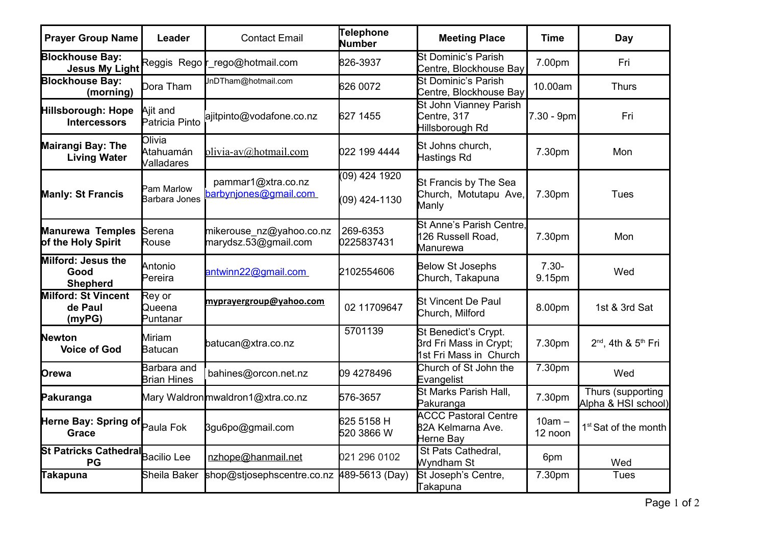| <b>Prayer Group Name</b>                        | Leader                                    | <b>Contact Email</b>                             | <b>Telephone</b><br><b>Number</b> | <b>Meeting Place</b>                                                     | <b>Time</b>         | Day                                      |
|-------------------------------------------------|-------------------------------------------|--------------------------------------------------|-----------------------------------|--------------------------------------------------------------------------|---------------------|------------------------------------------|
| <b>Blockhouse Bay:</b><br><b>Jesus My Light</b> | Reggis Rego <b>r</b>                      | rego@hotmail.com                                 | 826-3937                          | St Dominic's Parish<br>Centre, Blockhouse Bay                            | 7.00pm              | Fri                                      |
| <b>Blockhouse Bay:</b><br>(morning)             | $\mathsf{D}$ ora Tham                     | JnDTham@hotmail.com                              | 626 0072                          | St Dominic's Parish<br>Centre, Blockhouse Bay                            | 10.00am             | <b>Thurs</b>                             |
| Hillsborough: Hope<br><b>Intercessors</b>       | Ajit and<br>Patricia Pinto                | ajitpinto@vodafone.co.nz                         | 627 1455                          | St John Vianney Parish<br>Centre, 317<br>Hillsborough Rd                 | 7.30 - 9pm          | Fri                                      |
| <b>Mairangi Bay: The</b><br><b>Living Water</b> | <b>O</b> livia<br>Atahuamán<br>Valladares | olivia-av@hotmail.com                            | 022 199 4444                      | St Johns church,<br>Hastings Rd                                          | 7.30pm              | Mon                                      |
| <b>Manly: St Francis</b>                        | Pam Marlow<br>Barbara Jones               | pammar1@xtra.co.nz<br>barbynjones@gmail.com      | (09) 424 1920<br>(09) 424-1130    | St Francis by The Sea<br>Church, Motutapu Ave,<br>Manly                  | 7.30pm              | <b>Tues</b>                              |
| <b>Manurewa Temples</b><br>of the Holy Spirit   | Serena<br>Rouse                           | mikerouse nz@yahoo.co.nz<br>marydsz.53@gmail.com | 269-6353<br>0225837431            | St Anne's Parish Centre.<br>126 Russell Road,<br>Manurewa                | 7.30pm              | Mon                                      |
| Milford: Jesus the<br>Good<br><b>Shepherd</b>   | Antonio<br>$\sf P$ ereira                 | antwinn22@gmail.com                              | 2102554606                        | <b>Below St Josephs</b><br>Church, Takapuna                              | $7.30 -$<br>9.15pm  | Wed                                      |
| <b>Milford: St Vincent</b><br>de Paul<br>(myPG) | Rey or<br>Queena<br>Puntanar              | myprayergroup@yahoo.com                          | 02 11709647                       | <b>S</b> t Vincent De Paul<br>Church, Milford                            | 8.00pm              | 1st & 3rd Sat                            |
| <b>Newton</b><br><b>Voice of God</b>            | Miriam<br>Batucan                         | batucan@xtra.co.nz                               | 5701139                           | St Benedict's Crypt.<br>3rd Fri Mass in Crypt;<br>1st Fri Mass in Church | 7.30pm              | $2^{nd}$ , 4th & $5^{th}$ Fri            |
| Orewa                                           | Barbara and<br><b>Brian Hines</b>         | bahines@orcon.net.nz                             | 09 4278496                        | Church of St John the<br>Evangelist                                      | 7.30pm              | Wed                                      |
| Pakuranga                                       |                                           | Mary Waldronmwaldron1@xtra.co.nz                 | 576-3657                          | St Marks Parish Hall,<br>Pakuranga                                       | 7.30pm              | Thurs (supporting<br>Alpha & HSI school) |
| Herne Bay: Spring of Paula Fok<br><b>Grace</b>  |                                           | 3gu6po@gmail.com                                 | 625 5158 H<br>520 3866 W          | <b>ACCC Pastoral Centre</b><br>82A Kelmarna Ave.<br>Herne Bay            | $10am -$<br>12 noon | 1 <sup>st</sup> Sat of the month         |
| St Patricks Cathedral Bacilio Lee<br>PG         |                                           | nzhope@hanmail.net                               | 021 296 0102                      | St Pats Cathedral,<br>Wyndham St                                         | 6pm                 | Wed                                      |
| <b>Takapuna</b>                                 | Sheila Baker                              | shop@stjosephscentre.co.nz                       | 489-5613 (Day)                    | St Joseph's Centre,<br><b>Takapuna</b>                                   | 7.30pm              | Tues                                     |